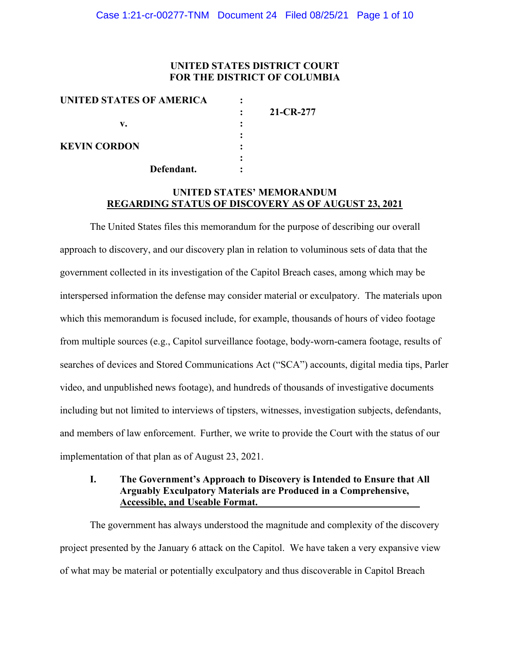## **UNITED STATES DISTRICT COURT FOR THE DISTRICT OF COLUMBIA**

| UNITED STATES OF AMERICA |            |           |
|--------------------------|------------|-----------|
|                          |            | 21-CR-277 |
| v.                       |            |           |
|                          |            |           |
| <b>KEVIN CORDON</b>      |            |           |
|                          |            |           |
|                          | Defendant. |           |
|                          |            |           |

## **UNITED STATES' MEMORANDUM REGARDING STATUS OF DISCOVERY AS OF AUGUST 23, 2021**

The United States files this memorandum for the purpose of describing our overall approach to discovery, and our discovery plan in relation to voluminous sets of data that the government collected in its investigation of the Capitol Breach cases, among which may be interspersed information the defense may consider material or exculpatory. The materials upon which this memorandum is focused include, for example, thousands of hours of video footage from multiple sources (e.g., Capitol surveillance footage, body-worn-camera footage, results of searches of devices and Stored Communications Act ("SCA") accounts, digital media tips, Parler video, and unpublished news footage), and hundreds of thousands of investigative documents including but not limited to interviews of tipsters, witnesses, investigation subjects, defendants, and members of law enforcement. Further, we write to provide the Court with the status of our implementation of that plan as of August 23, 2021.

### **I. The Government's Approach to Discovery is Intended to Ensure that All Arguably Exculpatory Materials are Produced in a Comprehensive, Accessible, and Useable Format.**

The government has always understood the magnitude and complexity of the discovery project presented by the January 6 attack on the Capitol. We have taken a very expansive view of what may be material or potentially exculpatory and thus discoverable in Capitol Breach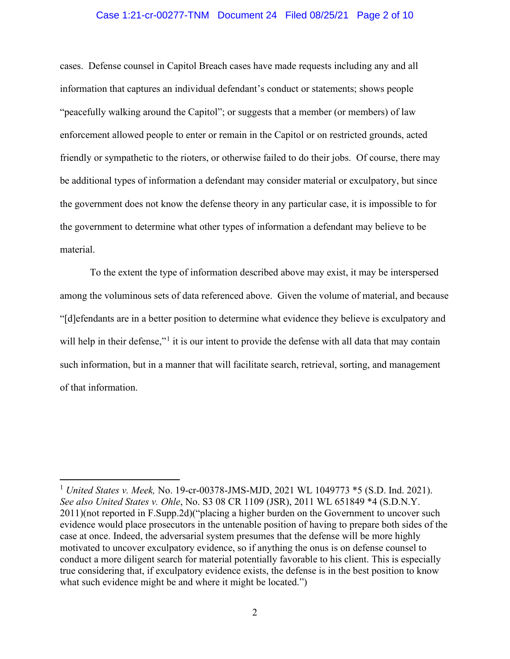#### Case 1:21-cr-00277-TNM Document 24 Filed 08/25/21 Page 2 of 10

cases. Defense counsel in Capitol Breach cases have made requests including any and all information that captures an individual defendant's conduct or statements; shows people "peacefully walking around the Capitol"; or suggests that a member (or members) of law enforcement allowed people to enter or remain in the Capitol or on restricted grounds, acted friendly or sympathetic to the rioters, or otherwise failed to do their jobs. Of course, there may be additional types of information a defendant may consider material or exculpatory, but since the government does not know the defense theory in any particular case, it is impossible to for the government to determine what other types of information a defendant may believe to be material.

To the extent the type of information described above may exist, it may be interspersed among the voluminous sets of data referenced above. Given the volume of material, and because "[d]efendants are in a better position to determine what evidence they believe is exculpatory and will help in their defense,"<sup>1</sup> it is our intent to provide the defense with all data that may contain such information, but in a manner that will facilitate search, retrieval, sorting, and management of that information.

<sup>1</sup> *United States v. Meek,* No. 19-cr-00378-JMS-MJD, 2021 WL 1049773 \*5 (S.D. Ind. 2021). *See also United States v. Ohle*, No. S3 08 CR 1109 (JSR), 2011 WL 651849 \*4 (S.D.N.Y. 2011)(not reported in F.Supp.2d)("placing a higher burden on the Government to uncover such evidence would place prosecutors in the untenable position of having to prepare both sides of the case at once. Indeed, the adversarial system presumes that the defense will be more highly motivated to uncover exculpatory evidence, so if anything the onus is on defense counsel to conduct a more diligent search for material potentially favorable to his client. This is especially true considering that, if exculpatory evidence exists, the defense is in the best position to know what such evidence might be and where it might be located.")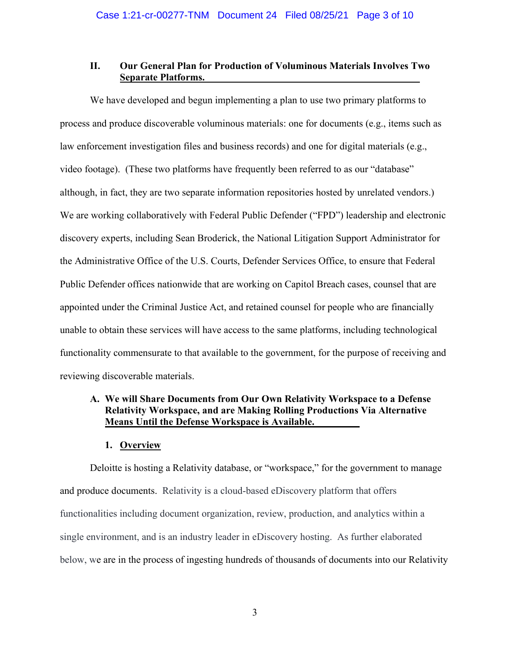### **II. Our General Plan for Production of Voluminous Materials Involves Two Separate Platforms.**

We have developed and begun implementing a plan to use two primary platforms to process and produce discoverable voluminous materials: one for documents (e.g., items such as law enforcement investigation files and business records) and one for digital materials (e.g., video footage). (These two platforms have frequently been referred to as our "database" although, in fact, they are two separate information repositories hosted by unrelated vendors.) We are working collaboratively with Federal Public Defender ("FPD") leadership and electronic discovery experts, including Sean Broderick, the National Litigation Support Administrator for the Administrative Office of the U.S. Courts, Defender Services Office, to ensure that Federal Public Defender offices nationwide that are working on Capitol Breach cases, counsel that are appointed under the Criminal Justice Act, and retained counsel for people who are financially unable to obtain these services will have access to the same platforms, including technological functionality commensurate to that available to the government, for the purpose of receiving and reviewing discoverable materials.

# **A. We will Share Documents from Our Own Relativity Workspace to a Defense Relativity Workspace, and are Making Rolling Productions Via Alternative Means Until the Defense Workspace is Available.**

### **1. Overview**

Deloitte is hosting a Relativity database, or "workspace," for the government to manage and produce documents. Relativity is a cloud-based eDiscovery platform that offers functionalities including document organization, review, production, and analytics within a single environment, and is an industry leader in eDiscovery hosting. As further elaborated below, we are in the process of ingesting hundreds of thousands of documents into our Relativity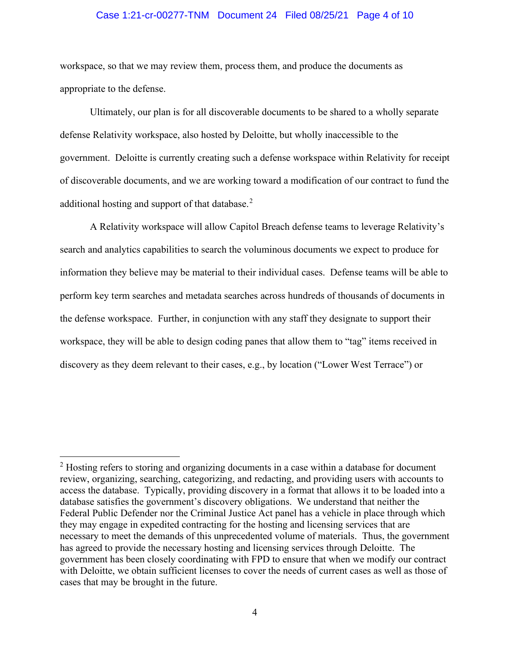#### Case 1:21-cr-00277-TNM Document 24 Filed 08/25/21 Page 4 of 10

workspace, so that we may review them, process them, and produce the documents as appropriate to the defense.

Ultimately, our plan is for all discoverable documents to be shared to a wholly separate defense Relativity workspace, also hosted by Deloitte, but wholly inaccessible to the government. Deloitte is currently creating such a defense workspace within Relativity for receipt of discoverable documents, and we are working toward a modification of our contract to fund the additional hosting and support of that database.<sup>2</sup>

A Relativity workspace will allow Capitol Breach defense teams to leverage Relativity's search and analytics capabilities to search the voluminous documents we expect to produce for information they believe may be material to their individual cases. Defense teams will be able to perform key term searches and metadata searches across hundreds of thousands of documents in the defense workspace. Further, in conjunction with any staff they designate to support their workspace, they will be able to design coding panes that allow them to "tag" items received in discovery as they deem relevant to their cases, e.g., by location ("Lower West Terrace") or

<sup>&</sup>lt;sup>2</sup> Hosting refers to storing and organizing documents in a case within a database for document review, organizing, searching, categorizing, and redacting, and providing users with accounts to access the database. Typically, providing discovery in a format that allows it to be loaded into a database satisfies the government's discovery obligations. We understand that neither the Federal Public Defender nor the Criminal Justice Act panel has a vehicle in place through which they may engage in expedited contracting for the hosting and licensing services that are necessary to meet the demands of this unprecedented volume of materials. Thus, the government has agreed to provide the necessary hosting and licensing services through Deloitte. The government has been closely coordinating with FPD to ensure that when we modify our contract with Deloitte, we obtain sufficient licenses to cover the needs of current cases as well as those of cases that may be brought in the future.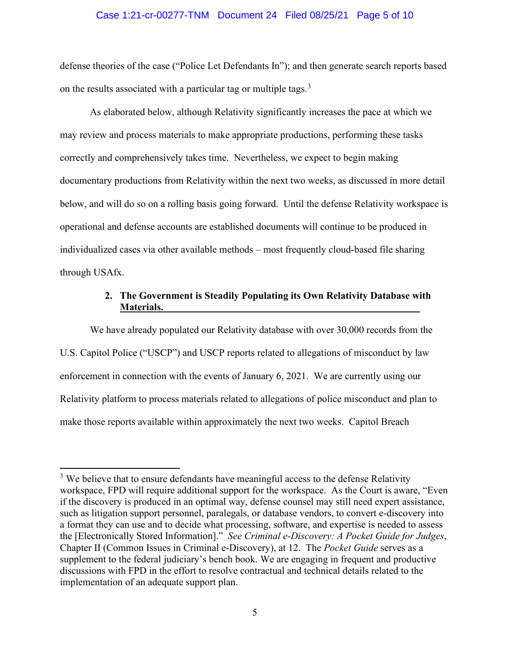#### Case 1:21-cr-00277-TNM Document 24 Filed 08/25/21 Page 5 of 10

defense theories of the case ("Police Let Defendants In"); and then generate search reports based on the results associated with a particular tag or multiple tags.<sup>3</sup>

As elaborated below, although Relativity significantly increases the pace at which we may review and process materials to make appropriate productions, performing these tasks correctly and comprehensively takes time. Nevertheless, we expect to begin making documentary productions from Relativity within the next two weeks, as discussed in more detail below, and will do so on a rolling basis going forward. Until the defense Relativity workspace is operational and defense accounts are established documents will continue to be produced in individualized cases via other available methods – most frequently cloud-based file sharing through USAfx.

# **2. The Government is Steadily Populating its Own Relativity Database with Materials.**

We have already populated our Relativity database with over 30,000 records from the U.S. Capitol Police ("USCP") and USCP reports related to allegations of misconduct by law enforcement in connection with the events of January 6, 2021. We are currently using our Relativity platform to process materials related to allegations of police misconduct and plan to make those reports available within approximately the next two weeks. Capitol Breach

 $3$  We believe that to ensure defendants have meaningful access to the defense Relativity workspace, FPD will require additional support for the workspace. As the Court is aware, "Even if the discovery is produced in an optimal way, defense counsel may still need expert assistance, such as litigation support personnel, paralegals, or database vendors, to convert e-discovery into a format they can use and to decide what processing, software, and expertise is needed to assess the [Electronically Stored Information]." *See Criminal e-Discovery: A Pocket Guide for Judges*, Chapter II (Common Issues in Criminal e-Discovery), at 12.The *Pocket Guide* serves as a supplement to the federal judiciary's bench book. We are engaging in frequent and productive discussions with FPD in the effort to resolve contractual and technical details related to the implementation of an adequate support plan.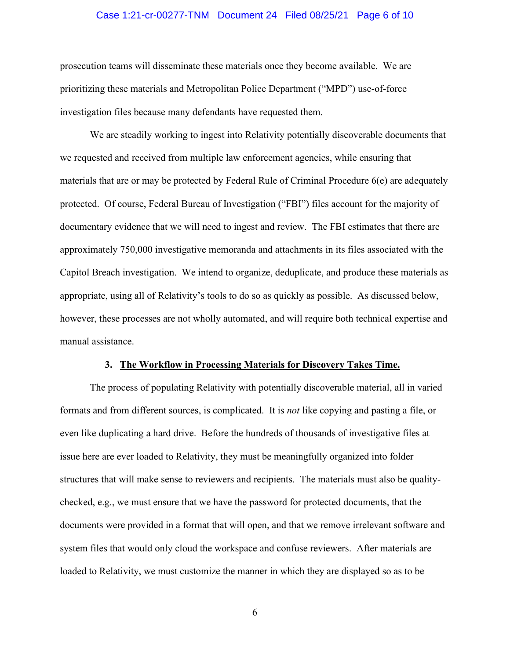#### Case 1:21-cr-00277-TNM Document 24 Filed 08/25/21 Page 6 of 10

prosecution teams will disseminate these materials once they become available. We are prioritizing these materials and Metropolitan Police Department ("MPD") use-of-force investigation files because many defendants have requested them.

We are steadily working to ingest into Relativity potentially discoverable documents that we requested and received from multiple law enforcement agencies, while ensuring that materials that are or may be protected by Federal Rule of Criminal Procedure 6(e) are adequately protected. Of course, Federal Bureau of Investigation ("FBI") files account for the majority of documentary evidence that we will need to ingest and review. The FBI estimates that there are approximately 750,000 investigative memoranda and attachments in its files associated with the Capitol Breach investigation. We intend to organize, deduplicate, and produce these materials as appropriate, using all of Relativity's tools to do so as quickly as possible. As discussed below, however, these processes are not wholly automated, and will require both technical expertise and manual assistance.

#### **3. The Workflow in Processing Materials for Discovery Takes Time.**

The process of populating Relativity with potentially discoverable material, all in varied formats and from different sources, is complicated. It is *not* like copying and pasting a file, or even like duplicating a hard drive. Before the hundreds of thousands of investigative files at issue here are ever loaded to Relativity, they must be meaningfully organized into folder structures that will make sense to reviewers and recipients. The materials must also be qualitychecked, e.g., we must ensure that we have the password for protected documents, that the documents were provided in a format that will open, and that we remove irrelevant software and system files that would only cloud the workspace and confuse reviewers. After materials are loaded to Relativity, we must customize the manner in which they are displayed so as to be

6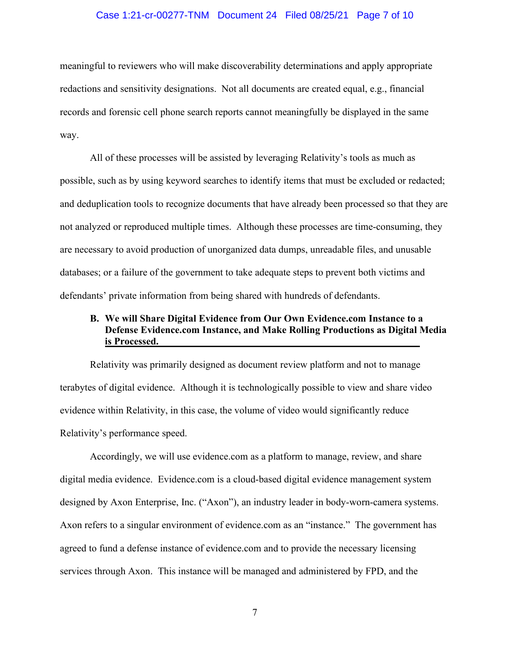#### Case 1:21-cr-00277-TNM Document 24 Filed 08/25/21 Page 7 of 10

meaningful to reviewers who will make discoverability determinations and apply appropriate redactions and sensitivity designations. Not all documents are created equal, e.g., financial records and forensic cell phone search reports cannot meaningfully be displayed in the same way.

All of these processes will be assisted by leveraging Relativity's tools as much as possible, such as by using keyword searches to identify items that must be excluded or redacted; and deduplication tools to recognize documents that have already been processed so that they are not analyzed or reproduced multiple times. Although these processes are time-consuming, they are necessary to avoid production of unorganized data dumps, unreadable files, and unusable databases; or a failure of the government to take adequate steps to prevent both victims and defendants' private information from being shared with hundreds of defendants.

# **B. We will Share Digital Evidence from Our Own Evidence.com Instance to a Defense Evidence.com Instance, and Make Rolling Productions as Digital Media is Processed.**

Relativity was primarily designed as document review platform and not to manage terabytes of digital evidence. Although it is technologically possible to view and share video evidence within Relativity, in this case, the volume of video would significantly reduce Relativity's performance speed.

Accordingly, we will use evidence.com as a platform to manage, review, and share digital media evidence. Evidence.com is a cloud-based digital evidence management system designed by Axon Enterprise, Inc. ("Axon"), an industry leader in body-worn-camera systems. Axon refers to a singular environment of evidence.com as an "instance." The government has agreed to fund a defense instance of evidence.com and to provide the necessary licensing services through Axon. This instance will be managed and administered by FPD, and the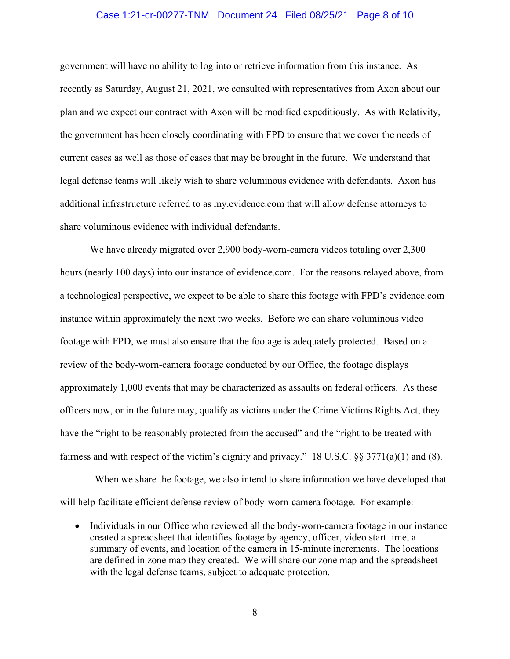#### Case 1:21-cr-00277-TNM Document 24 Filed 08/25/21 Page 8 of 10

government will have no ability to log into or retrieve information from this instance. As recently as Saturday, August 21, 2021, we consulted with representatives from Axon about our plan and we expect our contract with Axon will be modified expeditiously. As with Relativity, the government has been closely coordinating with FPD to ensure that we cover the needs of current cases as well as those of cases that may be brought in the future. We understand that legal defense teams will likely wish to share voluminous evidence with defendants. Axon has additional infrastructure referred to as my.evidence.com that will allow defense attorneys to share voluminous evidence with individual defendants.

We have already migrated over 2,900 body-worn-camera videos totaling over 2,300 hours (nearly 100 days) into our instance of evidence.com. For the reasons relayed above, from a technological perspective, we expect to be able to share this footage with FPD's evidence.com instance within approximately the next two weeks. Before we can share voluminous video footage with FPD, we must also ensure that the footage is adequately protected. Based on a review of the body-worn-camera footage conducted by our Office, the footage displays approximately 1,000 events that may be characterized as assaults on federal officers. As these officers now, or in the future may, qualify as victims under the Crime Victims Rights Act, they have the "right to be reasonably protected from the accused" and the "right to be treated with fairness and with respect of the victim's dignity and privacy." 18 U.S.C. §§ 3771(a)(1) and (8).

 When we share the footage, we also intend to share information we have developed that will help facilitate efficient defense review of body-worn-camera footage. For example:

• Individuals in our Office who reviewed all the body-worn-camera footage in our instance created a spreadsheet that identifies footage by agency, officer, video start time, a summary of events, and location of the camera in 15-minute increments. The locations are defined in zone map they created. We will share our zone map and the spreadsheet with the legal defense teams, subject to adequate protection.

8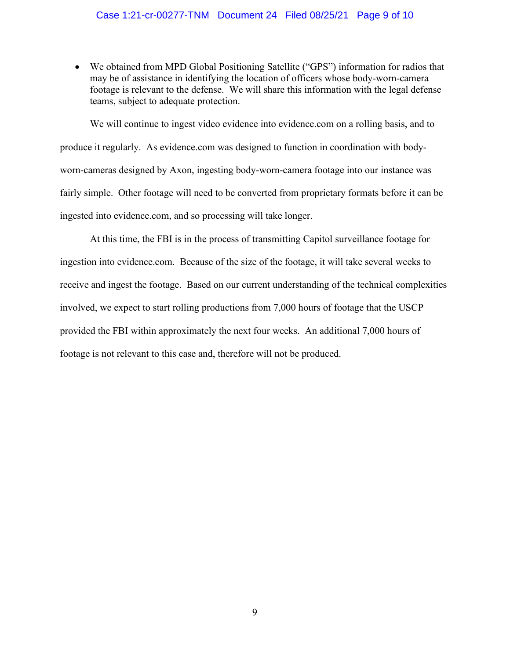### Case 1:21-cr-00277-TNM Document 24 Filed 08/25/21 Page 9 of 10

• We obtained from MPD Global Positioning Satellite ("GPS") information for radios that may be of assistance in identifying the location of officers whose body-worn-camera footage is relevant to the defense. We will share this information with the legal defense teams, subject to adequate protection.

We will continue to ingest video evidence into evidence.com on a rolling basis, and to produce it regularly. As evidence.com was designed to function in coordination with bodyworn-cameras designed by Axon, ingesting body-worn-camera footage into our instance was fairly simple. Other footage will need to be converted from proprietary formats before it can be ingested into evidence.com, and so processing will take longer.

At this time, the FBI is in the process of transmitting Capitol surveillance footage for ingestion into evidence.com. Because of the size of the footage, it will take several weeks to receive and ingest the footage. Based on our current understanding of the technical complexities involved, we expect to start rolling productions from 7,000 hours of footage that the USCP provided the FBI within approximately the next four weeks. An additional 7,000 hours of footage is not relevant to this case and, therefore will not be produced.